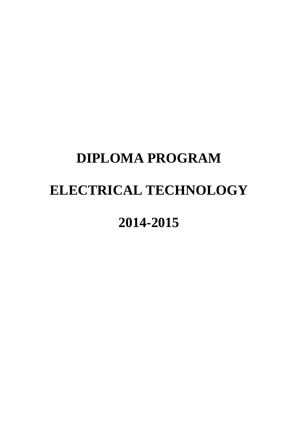## **DIPLOMA PROGRAM ELECTRICAL TECHNOLOGY 2014-2015**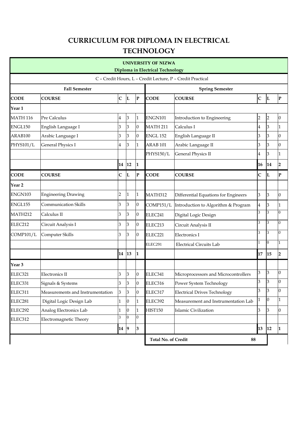## **CURRICULUM FOR DIPLOMA IN ELECTRICAL TECHNOLOGY**

|                                         |                                  |                |                 |                        | <b>UNIVERSITY OF NIZWA</b>       |                                                            |                          |                |                  |  |
|-----------------------------------------|----------------------------------|----------------|-----------------|------------------------|----------------------------------|------------------------------------------------------------|--------------------------|----------------|------------------|--|
| <b>Diploma in Electrical Technology</b> |                                  |                |                 |                        |                                  |                                                            |                          |                |                  |  |
|                                         |                                  |                |                 |                        |                                  | C - Credit Hours, L - Credit Lecture, P - Credit Practical |                          |                |                  |  |
| <b>Fall Semester</b>                    |                                  |                |                 | <b>Spring Semester</b> |                                  |                                                            |                          |                |                  |  |
| <b>CODE</b>                             | <b>COURSE</b>                    | $\mathsf{C}$   | L               | ${\bf P}$              | <b>CODE</b>                      | <b>COURSE</b>                                              |                          | L              | $\mathbf P$      |  |
| Year 1                                  |                                  |                |                 |                        |                                  |                                                            |                          |                |                  |  |
| <b>MATH 116</b>                         | Pre Calculus                     | 4              | 3               | 1                      | ENGN101                          | Introduction to Engineering                                | $\overline{c}$           | $\overline{2}$ | $\mathbf{0}$     |  |
| ENGL150                                 | English Language I               | 3              | 3               | $\boldsymbol{0}$       | <b>MATH 211</b>                  | Calculus I                                                 | 4                        | 3              | $\mathbf{1}$     |  |
| ARAB100                                 | Arabic Language I                | 3              | 3               | $\boldsymbol{0}$       | <b>ENGL 152</b>                  | English Language II                                        | 3<br>3<br>$\overline{0}$ |                |                  |  |
| PHYS101/L                               | <b>General Physics I</b>         | 4              | 3               | $\mathbf{1}$           | ARAB <sub>101</sub>              | Arabic Language II                                         | 3                        | 3              | $\overline{0}$   |  |
|                                         |                                  |                |                 |                        | PHYS150/L                        | <b>General Physics II</b>                                  | 4                        | 3              | $\mathbf{1}$     |  |
|                                         |                                  | 14             | 12              | $\mathbf{1}$           |                                  |                                                            | 16                       | 14             | $\overline{2}$   |  |
| <b>CODE</b>                             | <b>COURSE</b>                    | $\mathsf{C}$   | L               | ${\bf P}$              | <b>CODE</b>                      | <b>COURSE</b>                                              | C                        | L              | $\mathbf{P}$     |  |
| Year 2                                  |                                  |                |                 |                        |                                  |                                                            |                          |                |                  |  |
| ENGN103                                 | Engineering Drawing              | $\overline{c}$ | $\mathbf{1}$    | $\mathbf{1}$           | <b>MATH312</b>                   | Differential Equations for Engineers                       |                          | 3              | $\overline{0}$   |  |
| ENGL155                                 | Communication Skills             | 3              | 3               | $\boldsymbol{0}$       | COMP151/L                        | Introduction to Algorithm & Program                        |                          | 3              | 1                |  |
| <b>MATH212</b>                          | Calculus II                      | 3              | 3               | $\boldsymbol{0}$       | ELEC241                          | Digital Logic Design                                       |                          | 3              | $\bf{0}$         |  |
| ELEC212                                 | Circuit Analysis I               | 3              | 3               | $\boldsymbol{0}$       | ELEC213                          | Circuit Analysis II                                        |                          | 3              | $\overline{0}$   |  |
| COMP101/L                               | Computer Skills                  | 3              | 3               | $\boldsymbol{0}$       | ELEC221                          | Electronics I                                              |                          | 3              | $\overline{0}$   |  |
|                                         |                                  |                |                 |                        | ELEC291                          | <b>Electrical Circuits Lab</b>                             | 1                        | $\overline{0}$ | $\mathbf{1}$     |  |
|                                         |                                  | 14             | 13              | $\mathbf{1}$           |                                  |                                                            | 17                       | 15             | $\overline{2}$   |  |
| Year 3                                  |                                  |                |                 |                        |                                  |                                                            |                          |                |                  |  |
| ELEC321                                 | Electronics II                   | 3              | 3               | $\boldsymbol{0}$       | ELEC341                          | Microprocessors and Microcontrollers                       |                          | 3              | $\boldsymbol{0}$ |  |
| ELEC331                                 | Signals & Systems                | 3              | $\vert$ 3       | $\boldsymbol{0}$       | ELEC316                          | Power System Technology                                    |                          | 3              | $\overline{0}$   |  |
| ELEC311                                 | Measurements and Instrumentation | 3              | $\overline{3}$  | $\boldsymbol{0}$       | ELEC317                          | 3<br><b>Electrical Drives Technology</b>                   |                          | 3              | $\overline{0}$   |  |
| ELEC281                                 | Digital Logic Design Lab         | 1              | $\vert 0 \vert$ | $\mathbf{1}$           | ELEC392                          | 1<br>Measurement and Instrumentation Lab                   |                          | $\Omega$       | $\mathbf{1}$     |  |
| ELEC292                                 | Analog Electronics Lab           | 1              | $ 0\rangle$     | $\mathbf{1}$           | <b>HIST150</b>                   | 3<br>Islamic Civilization                                  |                          | 3              | $\overline{0}$   |  |
| ELEC312                                 | Electromagnetic Theory           | 3              | $\overline{0}$  | $\overline{0}$         |                                  |                                                            |                          |                |                  |  |
|                                         |                                  | 14 9           |                 | 3                      |                                  |                                                            | 13                       | 12             | 11               |  |
|                                         |                                  |                |                 |                        | <b>Total No. of Credit</b><br>88 |                                                            |                          |                |                  |  |